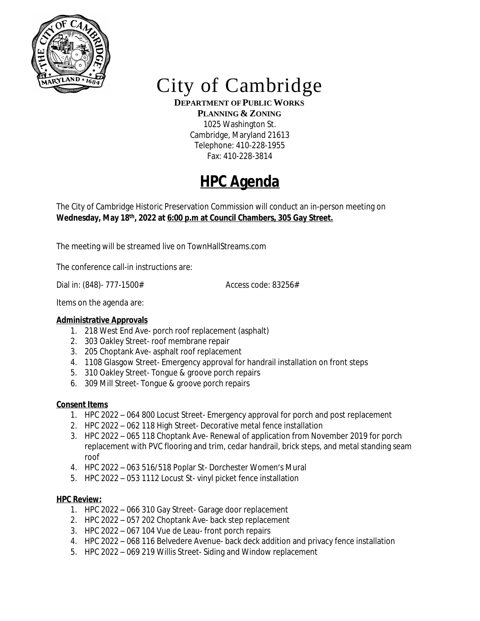

# City of Cambridge

**DEPARTMENT OF PUBLIC WORKS**

**PLANNING & ZONING** 1025 Washington St. Cambridge, Maryland 21613 Telephone: 410-228-1955 Fax: 410-228-3814

## **HPC Agenda**

The City of Cambridge Historic Preservation Commission will conduct an in-person meeting on **Wednesday, May 18th , 2022 at 6:00 p.m at Council Chambers, 305 Gay Street.**

The meeting will be streamed live on TownHallStreams.com

The conference call-in instructions are:

Dial in: (848)- 777-1500# Access code: 83256#

Items on the agenda are:

### **Administrative Approvals**

- 1. 218 West End Ave- porch roof replacement (asphalt)
- 2. 303 Oakley Street- roof membrane repair
- 3. 205 Choptank Ave- asphalt roof replacement
- 4. 1108 Glasgow Street- Emergency approval for handrail installation on front steps
- 5. 310 Oakley Street- Tongue & groove porch repairs
- 6. 309 Mill Street- Tongue & groove porch repairs

### **Consent Items**

- 1. HPC 2022 064 800 Locust Street- Emergency approval for porch and post replacement
- 2. HPC 2022 062 118 High Street- Decorative metal fence installation
- 3. HPC 2022 065 118 Choptank Ave- Renewal of application from November 2019 for porch replacement with PVC flooring and trim, cedar handrail, brick steps, and metal standing seam roof
- 4. HPC 2022 063 516/518 Poplar St- Dorchester Women's Mural
- 5. HPC 2022 053 1112 Locust St- vinyl picket fence installation

### **HPC Review:**

- 1. HPC 2022 066 310 Gay Street- Garage door replacement
- 2. HPC 2022 057 202 Choptank Ave- back step replacement
- 3. HPC 2022 067 104 Vue de Leau- front porch repairs
- 4. HPC 2022 068 116 Belvedere Avenue- back deck addition and privacy fence installation
- 5. HPC 2022 069 219 Willis Street- Siding and Window replacement